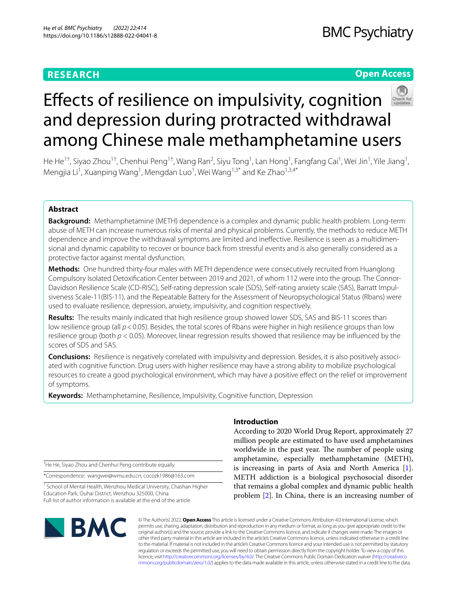# **RESEARCH**

# **Open Access**



# Efects of resilience on impulsivity, cognition and depression during protracted withdrawal among Chinese male methamphetamine users

He He<sup>1†</sup>, Siyao Zhou<sup>1†</sup>, Chenhui Peng<sup>1†</sup>, Wang Ran<sup>2</sup>, Siyu Tong<sup>1</sup>, Lan Hong<sup>1</sup>, Fangfang Cai<sup>1</sup>, Wei Jin<sup>1</sup>, Yile Jiang<sup>1</sup>, Mengjia Li<sup>1</sup>, Xuanping Wang<sup>1</sup>, Mengdan Luo<sup>1</sup>, Wei Wang<sup>1,3\*</sup> and Ke Zhao<sup>1,3,4\*</sup>

# **Abstract**

**Background:** Methamphetamine (METH) dependence is a complex and dynamic public health problem. Long-term abuse of METH can increase numerous risks of mental and physical problems. Currently, the methods to reduce METH dependence and improve the withdrawal symptoms are limited and inefective. Resilience is seen as a multidimensional and dynamic capability to recover or bounce back from stressful events and is also generally considered as a protective factor against mental dysfunction.

**Methods:** One hundred thirty-four males with METH dependence were consecutively recruited from Huanglong Compulsory Isolated Detoxifcation Center between 2019 and 2021, of whom 112 were into the group. The Connor-Davidson Resilience Scale (CD-RISC), Self-rating depression scale (SDS), Self-rating anxiety scale (SAS), Barratt Impulsiveness Scale-11(BIS-11), and the Repeatable Battery for the Assessment of Neuropsychological Status (Rbans) were used to evaluate resilience, depression, anxiety, impulsivity, and cognition respectively.

**Results:** The results mainly indicated that high resilience group showed lower SDS, SAS and BIS-11 scores than low resilience group (all  $p < 0.05$ ). Besides, the total scores of Rbans were higher in high resilience groups than low resilience group (both *p* < 0.05). Moreover, linear regression results showed that resilience may be infuenced by the scores of SDS and SAS.

**Conclusions:** Resilience is negatively correlated with impulsivity and depression. Besides, it is also positively associated with cognitive function. Drug users with higher resilience may have a strong ability to mobilize psychological resources to create a good psychological environment, which may have a positive efect on the relief or improvement of symptoms.

**Keywords:** Methamphetamine, Resilience, Impulsivity, Cognitive function, Depression

† He He, Siyao Zhou and Chenhui Peng contribute equally.

\*Correspondence: wangwei@wmu.edu.cn; cocozk1986@163.com

<sup>1</sup> School of Mental Health, Wenzhou Medical University, Chashan Higher Education Park, Ouhai District, Wenzhou 325000, China Full list of author information is available at the end of the article

# **Introduction**

According to 2020 World Drug Report, approximately 27 million people are estimated to have used amphetamines worldwide in the past year. The number of people using amphetamine, especially methamphetamine (METH), is increasing in parts of Asia and North America [\[1](#page-7-0)]. METH addiction is a biological psychosocial disorder that remains a global complex and dynamic public health problem [[2\]](#page-7-1). In China, there is an increasing number of



© The Author(s) 2022. **Open Access** This article is licensed under a Creative Commons Attribution 4.0 International License, which permits use, sharing, adaptation, distribution and reproduction in any medium or format, as long as you give appropriate credit to the original author(s) and the source, provide a link to the Creative Commons licence, and indicate if changes were made. The images or other third party material in this article are included in the article's Creative Commons licence, unless indicated otherwise in a credit line to the material. If material is not included in the article's Creative Commons licence and your intended use is not permitted by statutory regulation or exceeds the permitted use, you will need to obtain permission directly from the copyright holder. To view a copy of this licence, visit [http://creativecommons.org/licenses/by/4.0/.](http://creativecommons.org/licenses/by/4.0/) The Creative Commons Public Domain Dedication waiver ([http://creativeco](http://creativecommons.org/publicdomain/zero/1.0/) [mmons.org/publicdomain/zero/1.0/](http://creativecommons.org/publicdomain/zero/1.0/)) applies to the data made available in this article, unless otherwise stated in a credit line to the data.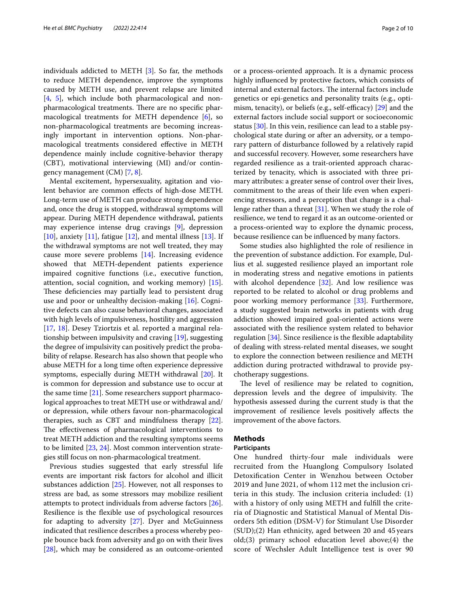individuals addicted to METH [[3\]](#page-7-2). So far, the methods to reduce METH dependence, improve the symptoms caused by METH use, and prevent relapse are limited [[4,](#page-7-3) [5](#page-7-4)], which include both pharmacological and nonpharmacological treatments. There are no specific pharmacological treatments for METH dependence [\[6](#page-7-5)], so non-pharmacological treatments are becoming increasingly important in intervention options. Non-pharmacological treatments considered efective in METH dependence mainly include cognitive-behavior therapy (CBT), motivational interviewing (MI) and/or contingency management (CM) [[7,](#page-7-6) [8](#page-7-7)].

Mental excitement, hypersexuality, agitation and violent behavior are common efects of high-dose METH. Long-term use of METH can produce strong dependence and, once the drug is stopped, withdrawal symptoms will appear. During METH dependence withdrawal, patients may experience intense drug cravings [[9\]](#page-7-8), depression [[10\]](#page-7-9), anxiety  $[11]$ , fatigue  $[12]$  $[12]$ , and mental illness  $[13]$ . If the withdrawal symptoms are not well treated, they may cause more severe problems [\[14\]](#page-7-13). Increasing evidence showed that METH-dependent patients experience impaired cognitive functions (i.e., executive function, attention, social cognition, and working memory) [\[15](#page-8-0)]. These deficiencies may partially lead to persistent drug use and poor or unhealthy decision-making [[16\]](#page-8-1). Cognitive defects can also cause behavioral changes, associated with high levels of impulsiveness, hostility and aggression [[17,](#page-8-2) [18](#page-8-3)]. Desey Tziortzis et al. reported a marginal relationship between impulsivity and craving [\[19\]](#page-8-4), suggesting the degree of impulsivity can positively predict the probability of relapse. Research has also shown that people who abuse METH for a long time often experience depressive symptoms, especially during METH withdrawal [\[20\]](#page-8-5). It is common for depression and substance use to occur at the same time [[21](#page-8-6)]. Some researchers support pharmacological approaches to treat METH use or withdrawal and/ or depression, while others favour non-pharmacological therapies, such as CBT and mindfulness therapy [\[22](#page-8-7)]. The effectiveness of pharmacological interventions to treat METH addiction and the resulting symptoms seems to be limited [\[23,](#page-8-8) [24\]](#page-8-9). Most common intervention strategies still focus on non-pharmacological treatment.

Previous studies suggested that early stressful life events are important risk factors for alcohol and illicit substances addiction [[25\]](#page-8-10). However, not all responses to stress are bad, as some stressors may mobilize resilient attempts to protect individuals from adverse factors [\[26](#page-8-11)]. Resilience is the fexible use of psychological resources for adapting to adversity [[27\]](#page-8-12). Dyer and McGuinness indicated that resilience describes a process whereby people bounce back from adversity and go on with their lives [[28\]](#page-8-13), which may be considered as an outcome-oriented or a process-oriented approach. It is a dynamic process highly infuenced by protective factors, which consists of internal and external factors. The internal factors include genetics or epi-genetics and personality traits (e.g., optimism, tenacity), or beliefs (e.g., self-efficacy)  $[29]$  and the external factors include social support or socioeconomic status [\[30\]](#page-8-15). In this vein, resilience can lead to a stable psychological state during or after an adversity, or a temporary pattern of disturbance followed by a relatively rapid and successful recovery. However, some researchers have regarded resilience as a trait-oriented approach characterized by tenacity, which is associated with three primary attributes: a greater sense of control over their lives, commitment to the areas of their life even when experiencing stressors, and a perception that change is a chal-lenge rather than a threat [[31](#page-8-16)]. When we study the role of resilience, we tend to regard it as an outcome-oriented or a process-oriented way to explore the dynamic process, because resilience can be infuenced by many factors.

Some studies also highlighted the role of resilience in the prevention of substance addiction. For example, Dullius et al. suggested resilience played an important role in moderating stress and negative emotions in patients with alcohol dependence  $[32]$  $[32]$ . And low resilience was reported to be related to alcohol or drug problems and poor working memory performance [[33](#page-8-18)]. Furthermore, a study suggested brain networks in patients with drug addiction showed impaired goal-oriented actions were associated with the resilience system related to behavior regulation [\[34\]](#page-8-19). Since resilience is the fexible adaptability of dealing with stress-related mental diseases, we sought to explore the connection between resilience and METH addiction during protracted withdrawal to provide psychotherapy suggestions.

The level of resilience may be related to cognition, depression levels and the degree of impulsivity. The hypothesis assessed during the current study is that the improvement of resilience levels positively afects the improvement of the above factors.

## **Methods**

## **Participants**

One hundred thirty-four male individuals were recruited from the Huanglong Compulsory Isolated Detoxifcation Center in Wenzhou between October 2019 and June 2021, of whom 112 met the inclusion criteria in this study. The inclusion criteria included:  $(1)$ with a history of only using METH and fulfll the criteria of Diagnostic and Statistical Manual of Mental Disorders 5th edition (DSM-V) for Stimulant Use Disorder (SUD);(2) Han ethnicity, aged between 20 and 45 years old;(3) primary school education level above;(4) the score of Wechsler Adult Intelligence test is over 90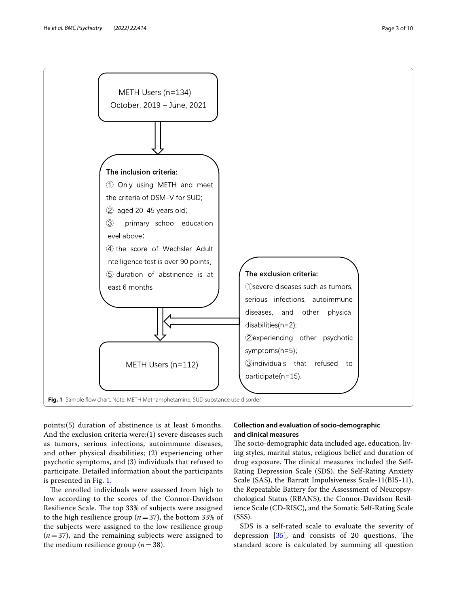

<span id="page-2-0"></span>points;(5) duration of abstinence is at least 6 months. And the exclusion criteria were:(1) severe diseases such as tumors, serious infections, autoimmune diseases, and other physical disabilities; (2) experiencing other psychotic symptoms, and (3) individuals that refused to participate. Detailed information about the participants is presented in Fig. [1](#page-2-0).

The enrolled individuals were assessed from high to low according to the scores of the Connor-Davidson Resilience Scale. The top 33% of subjects were assigned to the high resilience group (*n*=37), the bottom 33% of the subjects were assigned to the low resilience group  $(n=37)$ , and the remaining subjects were assigned to the medium resilience group  $(n=38)$ .

## **Collection and evaluation of socio‑demographic and clinical measures**

The socio-demographic data included age, education, living styles, marital status, religious belief and duration of drug exposure. The clinical measures included the Self-Rating Depression Scale (SDS), the Self-Rating Anxiety Scale (SAS), the Barratt Impulsiveness Scale-11(BIS-11), the Repeatable Battery for the Assessment of Neuropsychological Status (RBANS), the Connor-Davidson Resilience Scale (CD-RISC), and the Somatic Self-Rating Scale (SSS).

SDS is a self-rated scale to evaluate the severity of depression  $[35]$  $[35]$ , and consists of 20 questions. The standard score is calculated by summing all question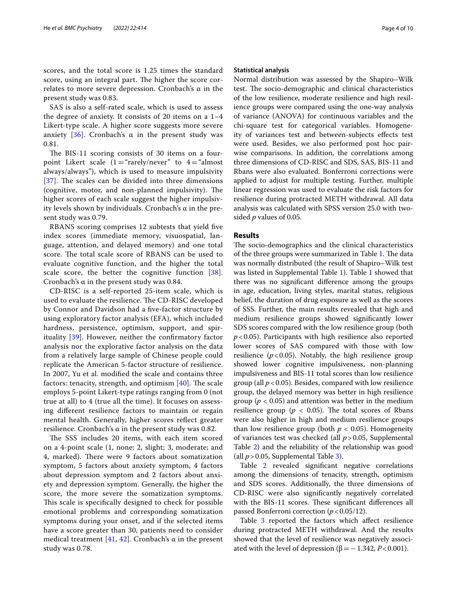scores, and the total score is 1.25 times the standard score, using an integral part. The higher the score correlates to more severe depression. Cronbach's α in the present study was 0.83.

SAS is also a self-rated scale, which is used to assess the degree of anxiety. It consists of 20 items on a 1–4 Likert-type scale. A higher score suggests more severe anxiety [[36\]](#page-8-21). Cronbach's α in the present study was 0.81.

The BIS-11 scoring consists of 30 items on a fourpoint Likert scale  $(1 = "rarely/never"$  to  $4 = "almost"$ always/always"), which is used to measure impulsivity  $[37]$  $[37]$  $[37]$ . The scales can be divided into three dimensions (cognitive, motor, and non-planned impulsivity). The higher scores of each scale suggest the higher impulsivity levels shown by individuals. Cronbach's α in the present study was 0.79.

RBANS scoring comprises 12 subtests that yield fve index scores (immediate memory, visuospatial, language, attention, and delayed memory) and one total score. The total scale score of RBANS can be used to evaluate cognitive function, and the higher the total scale score, the better the cognitive function [[38\]](#page-8-23). Cronbach's α in the present study was 0.84.

CD-RISC is a self-reported 25-item scale, which is used to evaluate the resilience. The CD-RISC developed by Connor and Davidson had a fve-factor structure by using exploratory factor analysis (EFA), which included hardness, persistence, optimism, support, and spirituality [\[39](#page-8-24)]. However, neither the confrmatory factor analysis nor the explorative factor analysis on the data from a relatively large sample of Chinese people could replicate the American 5-factor structure of resilience. In 2007, Yu et al. modifed the scale and contains three factors: tenacity, strength, and optimism  $[40]$ . The scale employs 5-point Likert-type ratings ranging from 0 (not true at all) to 4 (true all the time). It focuses on assessing diferent resilience factors to maintain or regain mental health. Generally, higher scores refect greater resilience. Cronbach's α in the present study was 0.82.

The SSS includes 20 items, with each item scored on a 4-point scale (1, none; 2, slight; 3, moderate; and 4, marked). There were 9 factors about somatization symptom, 5 factors about anxiety symptom, 4 factors about depression symptom and 2 factors about anxiety and depression symptom. Generally, the higher the score, the more severe the somatization symptoms. This scale is specifically designed to check for possible emotional problems and corresponding somatization symptoms during your onset, and if the selected items have a score greater than 30, patients need to consider medical treatment [\[41,](#page-8-26) [42\]](#page-8-27). Cronbach's  $\alpha$  in the present study was 0.78.

#### **Statistical analysis**

Normal distribution was assessed by the Shapiro–Wilk test. The socio-demographic and clinical characteristics of the low resilience, moderate resilience and high resilience groups were compared using the one-way analysis of variance (ANOVA) for continuous variables and the chi-square test for categorical variables. Homogeneity of variances test and between-subjects efects test were used. Besides, we also performed post hoc pairwise comparisons. In addition, the correlations among three dimensions of CD-RISC and SDS, SAS, BIS-11 and Rbans were also evaluated. Bonferroni corrections were applied to adjust for multiple testing. Further, multiple linear regression was used to evaluate the risk factors for resilience during protracted METH withdrawal. All data analysis was calculated with SPSS version 25.0 with twosided *p* values of 0.05.

### **Results**

The socio-demographics and the clinical characteristics of the three groups were summarized in Table [1.](#page-4-0) The data was normally distributed (the result of Shapiro–Wilk test was listed in Supplemental Table [1\)](#page-7-14). Table [1](#page-4-0) showed that there was no signifcant diference among the groups in age, education, living styles, marital status, religious belief, the duration of drug exposure as well as the scores of SSS. Further, the main results revealed that high and medium resilience groups showed signifcantly lower SDS scores compared with the low resilience group (both *p*<0.05). Participants with high resilience also reported lower scores of SAS compared with those with low resilience  $(p<0.05)$ . Notably, the high resilience group showed lower cognitive impulsiveness, non-planning impulsiveness and BIS-11 total scores than low resilience group (all  $p < 0.05$ ). Besides, compared with low resilience group, the delayed memory was better in high resilience group ( $p < 0.05$ ) and attention was better in the medium resilience group ( $p < 0.05$ ). The total scores of Rbans were also higher in high and medium resilience groups than low resilience group (both  $p < 0.05$ ). Homogeneity of variances test was checked (all *p*>0.05, Supplemental Table [2](#page-7-14)) and the reliability of the relationship was good (all  $p > 0.05$ , Supplemental Table [3](#page-7-14)).

Table [2](#page-4-1) revealed signifcant negative correlations among the dimensions of tenacity, strength, optimism and SDS scores. Additionally, the three dimensions of CD-RISC were also signifcantly negatively correlated with the BIS-11 scores. These significant differences all passed Bonferroni correction (*p*<0.05/12).

Table [3](#page-5-0) reported the factors which affect resilience during protracted METH withdrawal. And the results showed that the level of resilience was negatively associated with the level of depression ( $β = 1.342, P < 0.001$ ).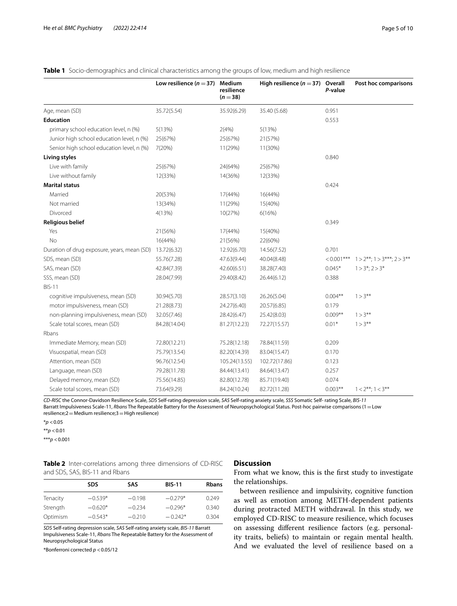|                                             | Low resilience ( $n = 37$ ) | Medium<br>resilience<br>$(n=38)$ | High resilience ( $n = 37$ ) Overall | P-value       | Post hoc comparisons                |
|---------------------------------------------|-----------------------------|----------------------------------|--------------------------------------|---------------|-------------------------------------|
| Age, mean (SD)                              | 35.72(5.54)                 | 35.92(6.29)                      | 35.40 (5.68)                         | 0.951         |                                     |
| <b>Education</b>                            |                             |                                  |                                      | 0.553         |                                     |
| primary school education level, n (%)       | 5(13%)                      | 2(4%)                            | 5(13%)                               |               |                                     |
| Junior high school education level, n (%)   | 25(67%)                     | 25(67%)                          | 21(57%)                              |               |                                     |
| Senior high school education level, n (%)   | 7(20%)                      | 11(29%)                          | 11(30%)                              |               |                                     |
| Living styles                               |                             |                                  |                                      | 0.840         |                                     |
| Live with family                            | 25(67%)                     | 24(64%)                          | 25(67%)                              |               |                                     |
| Live without family                         | 12(33%)                     | 14(36%)                          | 12(33%)                              |               |                                     |
| <b>Marital status</b>                       |                             |                                  |                                      | 0.424         |                                     |
| Married                                     | 20(53%)                     | 17(44%)                          | 16(44%)                              |               |                                     |
| Not married                                 | 13(34%)                     | 11(29%)                          | 15(40%)                              |               |                                     |
| Divorced                                    | 4(13%)                      | 10(27%)                          | 6(16%)                               |               |                                     |
| <b>Religious belief</b>                     |                             |                                  |                                      | 0.349         |                                     |
| Yes                                         | 21(56%)                     | 17(44%)                          | 15(40%)                              |               |                                     |
| <b>No</b>                                   | 16(44%)                     | 21(56%)                          | 22(60%)                              |               |                                     |
| Duration of drug exposure, years, mean (SD) | 13.72(6.32)                 | 12.92(6.70)                      | 14.56(7.52)                          | 0.701         |                                     |
| SDS, mean (SD)                              | 55.76(7.28)                 | 47.63(9.44)                      | 40.04(8.48)                          | $< 0.001$ *** | $1 > 2$ **; $1 > 3$ ***; $2 > 3$ ** |
| SAS, mean (SD)                              | 42.84(7.39)                 | 42.60(6.51)                      | 38.28(7.40)                          | $0.045*$      | $1 > 3^*$ ; 2 > 3*                  |
| SSS, mean (SD)                              | 28.04(7.99)                 | 29.40(8.42)                      | 26.44(6.12)                          | 0.388         |                                     |
| <b>BIS-11</b>                               |                             |                                  |                                      |               |                                     |
| cognitive impulsiveness, mean (SD)          | 30.94(5.70)                 | 28.57(3.10)                      | 26.26(5.04)                          | $0.004**$     | $1 > 3***$                          |
| motor impulsiveness, mean (SD)              | 21.28(8.73)                 | 24.27(6.40)                      | 20.57(6.85)                          | 0.179         |                                     |
| non-planning impulsiveness, mean (SD)       | 32.05(7.46)                 | 28.42(6.47)                      | 25.42(8.03)                          | $0.009**$     | $1 > 3***$                          |
| Scale total scores, mean (SD)               | 84.28(14.04)                | 81.27(12.23)                     | 72.27(15.57)                         | $0.01*$       | $1 > 3***$                          |
| Rbans                                       |                             |                                  |                                      |               |                                     |
| Immediate Memory, mean (SD)                 | 72.80(12.21)                | 75.28(12.18)                     | 78.84(11.59)                         | 0.209         |                                     |
| Visuospatial, mean (SD)                     | 75.79(13.54)                | 82.20(14.39)                     | 83.04(15.47)                         | 0.170         |                                     |
| Attention, mean (SD)                        | 96.76(12.54)                | 105.24(13.55)                    | 102.72(17.86)                        | 0.123         |                                     |
| Language, mean (SD)                         | 79.28(11.78)                | 84.44(13.41)                     | 84.64(13.47)                         | 0.257         |                                     |
| Delayed memory, mean (SD)                   | 75.56(14.85)                | 82.80(12.78)                     | 85.71(19.40)                         | 0.074         |                                     |
| Scale total scores, mean (SD)               | 73.64(9.29)                 | 84.24(10.24)                     | 82.72(11.28)                         | $0.003**$     | $1 < 2***; 1 < 3***$                |

<span id="page-4-0"></span>**Table 1** Socio-demographics and clinical characteristics among the groups of low, medium and high resilience

*CD-RISC* the Connor-Davidson Resilience Scale, *SDS* Self-rating depression scale, *SAS* Self-rating anxiety scale, *SSS* Somatic Self- rating Scale, *BIS-11* Barratt Impulsiveness Scale-11, *Rbans* The Repeatable Battery for the Assessment of Neuropsychological Status. Post-hoc pairwise comparisons (1=Low resilience;2=Medium resilience;3=High resilience)

\**p* <0.05

\*\**p* <0.01

\*\*\**p* <0.001

<span id="page-4-1"></span>**Table 2** Inter-correlations among three dimensions of CD-RISC and SDS, SAS, BIS-11 and Rbans

# **Discussion**

From what we know, this is the frst study to investigate the relationships.

**SDS SAS BIS-11 Rbans** Tenacity −0.539\* −0.198 −0.279\* 0.249 Strength −0.620\* −0.234 −0.296\* 0.340 Optimism −0.543\* −0.210 −0.242\* 0.304

*SDS* Self-rating depression scale, *SAS* Self-rating anxiety scale, *BIS-11* Barratt Impulsiveness Scale-11, *Rbans* The Repeatable Battery for the Assessment of Neuropsychological Status

\*Bonferroni corrected *p* <0.05/12

between resilience and impulsivity, cognitive function as well as emotion among METH-dependent patients during protracted METH withdrawal. In this study, we employed CD-RISC to measure resilience, which focuses on assessing diferent resilience factors (e.g. personality traits, beliefs) to maintain or regain mental health. And we evaluated the level of resilience based on a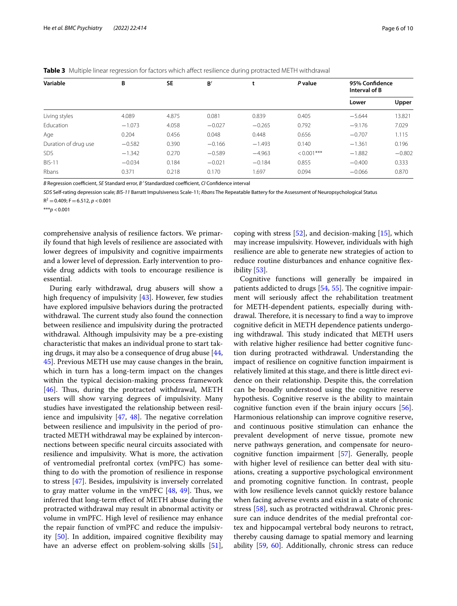| Variable             | В        | <b>SE</b> | B'       | ι        | P value      | 95% Confidence<br>Interval of B |          |
|----------------------|----------|-----------|----------|----------|--------------|---------------------------------|----------|
|                      |          |           |          |          |              | Lower                           | Upper    |
| Living styles        | 4.089    | 4.875     | 0.081    | 0.839    | 0.405        | $-5.644$                        | 13.821   |
| Education            | $-1.073$ | 4.058     | $-0.027$ | $-0.265$ | 0.792        | $-9.176$                        | 7.029    |
| Age                  | 0.204    | 0.456     | 0.048    | 0.448    | 0.656        | $-0.707$                        | 1.115    |
| Duration of drug use | $-0.582$ | 0.390     | $-0.166$ | $-1.493$ | 0.140        | $-1.361$                        | 0.196    |
| <b>SDS</b>           | $-1.342$ | 0.270     | $-0.589$ | $-4.963$ | $< 0.001***$ | $-1.882$                        | $-0.802$ |
| <b>BIS-11</b>        | $-0.034$ | 0.184     | $-0.021$ | $-0.184$ | 0.855        | $-0.400$                        | 0.333    |
| Rbans                | 0.371    | 0.218     | 0.170    | 1.697    | 0.094        | $-0.066$                        | 0.870    |

<span id="page-5-0"></span>**Table 3** Multiple linear regression for factors which affect resilience during protracted METH withdrawal

*B* Regression coefficient, *SE* Standard error, *B*<sup>*'*</sup> Standardized coefficient, *CI* Confidence interval

*SDS* Self-rating depression scale; *BIS-11* Barratt Impulsiveness Scale-11; *Rbans* The Repeatable Battery for the Assessment of Neuropsychological Status

 $R^2 = 0.409$ ; F = 6.512, *p* < 0.001

\*\*\**p* <0.001

comprehensive analysis of resilience factors. We primarily found that high levels of resilience are associated with lower degrees of impulsivity and cognitive impairments and a lower level of depression. Early intervention to provide drug addicts with tools to encourage resilience is essential.

During early withdrawal, drug abusers will show a high frequency of impulsivity [[43\]](#page-8-28). However, few studies have explored impulsive behaviors during the protracted withdrawal. The current study also found the connection between resilience and impulsivity during the protracted withdrawal. Although impulsivity may be a pre-existing characteristic that makes an individual prone to start taking drugs, it may also be a consequence of drug abuse  $[44, 4]$  $[44, 4]$ [45\]](#page-8-30). Previous METH use may cause changes in the brain, which in turn has a long-term impact on the changes within the typical decision-making process framework [[46\]](#page-8-31). Thus, during the protracted withdrawal, METH users will show varying degrees of impulsivity. Many studies have investigated the relationship between resilience and impulsivity  $[47, 48]$  $[47, 48]$  $[47, 48]$  $[47, 48]$ . The negative correlation between resilience and impulsivity in the period of protracted METH withdrawal may be explained by interconnections between specifc neural circuits associated with resilience and impulsivity. What is more, the activation of ventromedial prefrontal cortex (vmPFC) has something to do with the promotion of resilience in response to stress [\[47](#page-8-32)]. Besides, impulsivity is inversely correlated to gray matter volume in the vmPFC  $[48, 49]$  $[48, 49]$  $[48, 49]$  $[48, 49]$  $[48, 49]$ . Thus, we inferred that long-term efect of METH abuse during the protracted withdrawal may result in abnormal activity or volume in vmPFC. High level of resilience may enhance the repair function of vmPFC and reduce the impulsivity [[50\]](#page-8-35). In addition, impaired cognitive fexibility may have an adverse effect on problem-solving skills [\[51](#page-8-36)], coping with stress  $[52]$  $[52]$ , and decision-making  $[15]$  $[15]$ , which may increase impulsivity. However, individuals with high resilience are able to generate new strategies of action to reduce routine disturbances and enhance cognitive fexibility [[53](#page-8-38)].

Cognitive functions will generally be impaired in patients addicted to drugs  $[54, 55]$  $[54, 55]$  $[54, 55]$  $[54, 55]$ . The cognitive impairment will seriously afect the rehabilitation treatment for METH-dependent patients, especially during withdrawal. Therefore, it is necessary to find a way to improve cognitive deficit in METH dependence patients undergoing withdrawal. This study indicated that METH users with relative higher resilience had better cognitive function during protracted withdrawal. Understanding the impact of resilience on cognitive function impairment is relatively limited at this stage, and there is little direct evidence on their relationship. Despite this, the correlation can be broadly understood using the cognitive reserve hypothesis. Cognitive reserve is the ability to maintain cognitive function even if the brain injury occurs [\[56](#page-8-41)]. Harmonious relationship can improve cognitive reserve, and continuous positive stimulation can enhance the prevalent development of nerve tissue, promote new nerve pathways generation, and compensate for neurocognitive function impairment [\[57\]](#page-8-42). Generally, people with higher level of resilience can better deal with situations, creating a supportive psychological environment and promoting cognitive function. In contrast, people with low resilience levels cannot quickly restore balance when facing adverse events and exist in a state of chronic stress [[58](#page-8-43)], such as protracted withdrawal. Chronic pressure can induce dendrites of the medial prefrontal cortex and hippocampal vertebral body neurons to retract, thereby causing damage to spatial memory and learning ability [\[59](#page-8-44), [60](#page-8-45)]. Additionally, chronic stress can reduce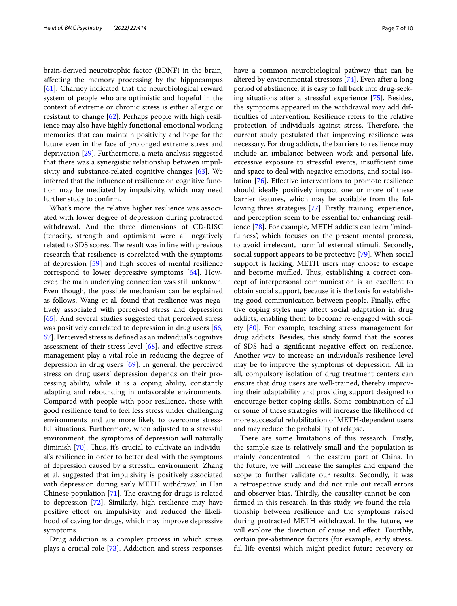brain-derived neurotrophic factor (BDNF) in the brain, afecting the memory processing by the hippocampus [[61\]](#page-8-46). Charney indicated that the neurobiological reward system of people who are optimistic and hopeful in the context of extreme or chronic stress is either allergic or resistant to change [[62\]](#page-8-47). Perhaps people with high resilience may also have highly functional emotional working memories that can maintain positivity and hope for the future even in the face of prolonged extreme stress and deprivation [[29](#page-8-14)]. Furthermore, a meta-analysis suggested that there was a synergistic relationship between impulsivity and substance-related cognitive changes [[63\]](#page-8-48). We inferred that the infuence of resilience on cognitive function may be mediated by impulsivity, which may need further study to confrm.

What's more, the relative higher resilience was associated with lower degree of depression during protracted withdrawal. And the three dimensions of CD-RISC (tenacity, strength and optimism) were all negatively related to SDS scores. The result was in line with previous research that resilience is correlated with the symptoms of depression [\[59\]](#page-8-44) and high scores of mental resilience correspond to lower depressive symptoms [\[64\]](#page-9-0). However, the main underlying connection was still unknown. Even though, the possible mechanism can be explained as follows. Wang et al. found that resilience was negatively associated with perceived stress and depression [[65\]](#page-9-1). And several studies suggested that perceived stress was positively correlated to depression in drug users [\[66](#page-9-2), [67\]](#page-9-3). Perceived stress is defned as an individual's cognitive assessment of their stress level [\[68](#page-9-4)], and efective stress management play a vital role in reducing the degree of depression in drug users [\[69](#page-9-5)]. In general, the perceived stress on drug users' depression depends on their processing ability, while it is a coping ability, constantly adapting and rebounding in unfavorable environments. Compared with people with poor resilience, those with good resilience tend to feel less stress under challenging environments and are more likely to overcome stressful situations. Furthermore, when adjusted to a stressful environment, the symptoms of depression will naturally diminish  $[70]$  $[70]$ . Thus, it's crucial to cultivate an individual's resilience in order to better deal with the symptoms of depression caused by a stressful environment. Zhang et al. suggested that impulsivity is positively associated with depression during early METH withdrawal in Han Chinese population  $[71]$  $[71]$ . The craving for drugs is related to depression [[72](#page-9-8)]. Similarly, high resilience may have positive efect on impulsivity and reduced the likelihood of caving for drugs, which may improve depressive symptoms.

Drug addiction is a complex process in which stress plays a crucial role [\[73](#page-9-9)]. Addiction and stress responses have a common neurobiological pathway that can be altered by environmental stressors [[74\]](#page-9-10). Even after a long period of abstinence, it is easy to fall back into drug-seeking situations after a stressful experience [\[75\]](#page-9-11). Besides, the symptoms appeared in the withdrawal may add diffculties of intervention. Resilience refers to the relative protection of individuals against stress. Therefore, the current study postulated that improving resilience was necessary. For drug addicts, the barriers to resilience may include an imbalance between work and personal life, excessive exposure to stressful events, insufficient time and space to deal with negative emotions, and social isolation [[76\]](#page-9-12). Efective interventions to promote resilience should ideally positively impact one or more of these barrier features, which may be available from the following three strategies [\[77](#page-9-13)]. Firstly, training, experience, and perception seem to be essential for enhancing resilience [\[78\]](#page-9-14). For example, METH addicts can learn "mindfulness", which focuses on the present mental process, to avoid irrelevant, harmful external stimuli. Secondly, social support appears to be protective [[79](#page-9-15)]. When social support is lacking, METH users may choose to escape and become muffled. Thus, establishing a correct concept of interpersonal communication is an excellent to obtain social support, because it is the basis for establishing good communication between people. Finally, efective coping styles may afect social adaptation in drug addicts, enabling them to become re-engaged with society [[80](#page-9-16)]. For example, teaching stress management for drug addicts. Besides, this study found that the scores of SDS had a signifcant negative efect on resilience. Another way to increase an individual's resilience level may be to improve the symptoms of depression. All in all, compulsory isolation of drug treatment centers can ensure that drug users are well-trained, thereby improving their adaptability and providing support designed to encourage better coping skills. Some combination of all or some of these strategies will increase the likelihood of more successful rehabilitation of METH-dependent users and may reduce the probability of relapse.

There are some limitations of this research. Firstly, the sample size is relatively small and the population is mainly concentrated in the eastern part of China. In the future, we will increase the samples and expand the scope to further validate our results. Secondly, it was a retrospective study and did not rule out recall errors and observer bias. Thirdly, the causality cannot be confrmed in this research. In this study, we found the relationship between resilience and the symptoms raised during protracted METH withdrawal. In the future, we will explore the direction of cause and efect. Fourthly, certain pre-abstinence factors (for example, early stressful life events) which might predict future recovery or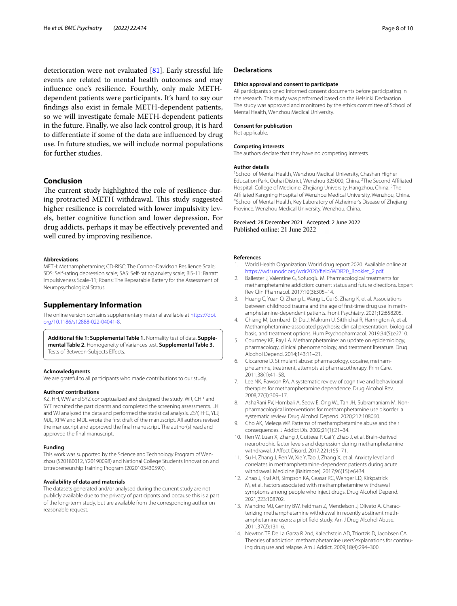deterioration were not evaluated [[81](#page-9-17)]. Early stressful life events are related to mental health outcomes and may infuence one's resilience. Fourthly, only male METHdependent patients were participants. It's hard to say our fndings also exist in female METH-dependent patients, so we will investigate female METH-dependent patients in the future. Finally, we also lack control group, it is hard to diferentiate if some of the data are infuenced by drug use. In future studies, we will include normal populations for further studies.

## **Conclusion**

The current study highlighted the role of resilience during protracted METH withdrawal. This study suggested higher resilience is correlated with lower impulsivity levels, better cognitive function and lower depression. For drug addicts, perhaps it may be efectively prevented and well cured by improving resilience.

#### **Abbreviations**

METH: Methamphetamine; CD-RISC: The Connor-Davidson Resilience Scale; SDS: Self-rating depression scale; SAS: Self-rating anxiety scale; BIS-11: Barratt Impulsiveness Scale-11; Rbans: The Repeatable Battery for the Assessment of Neuropsychological Status.

## **Supplementary Information**

The online version contains supplementary material available at [https://doi.](https://doi.org/10.1186/s12888-022-04041-8) [org/10.1186/s12888-022-04041-8](https://doi.org/10.1186/s12888-022-04041-8).

<span id="page-7-14"></span>**Additional fle 1: Supplemental Table 1.** Normality test of data. **Supple‑ mental Table 2.** Homogeneity of Variances test. **Supplemental Table 3.** Tests of Between-Subjects Efects.

#### **Acknowledgments**

We are grateful to all participants who made contributions to our study.

## **Authors' contributions**

KZ, HH, WW and SYZ conceptualized and designed the study. WR, CHP and SYT recruited the participants and completed the screening assessments. LH and WJ analyzed the data and performed the statistical analysis. ZSY, FFC, YLJ, MJL, XPW and MDL wrote the frst draft of the manuscript. All authors revised the manuscript and approved the fnal manuscript. The author(s) read and approved the fnal manuscript.

#### **Funding**

This work was supported by the Science and Technology Program of Wenzhou (S20180012, Y20190098) and National College Students Innovation and Entrepreneurship Training Program (202010343059X).

#### **Availability of data and materials**

The datasets generated and/or analysed during the current study are not publicly available due to the privacy of participants and because this is a part of the long-term study, but are available from the corresponding author on reasonable request.

#### **Declarations**

#### **Ethics approval and consent to participate**

All participants signed informed consent documents before participating in the research. This study was performed based on the Helsinki Declaration. The study was approved and monitored by the ethics committee of School of Mental Health, Wenzhou Medical University.

## **Consent for publication**

Not applicable.

#### **Competing interests**

The authors declare that they have no competing interests.

#### **Author details**

<sup>1</sup> School of Mental Health, Wenzhou Medical University, Chashan Higher Education Park, Ouhai District, Wenzhou 325000, China. <sup>2</sup>The Second Affiliated Hospital, College of Medicine, Zhejiang University, Hangzhou, China. <sup>3</sup>The Affiliated Kangning Hospital of Wenzhou Medical University, Wenzhou, China. <sup>4</sup>School of Mental Health, Key Laboratory of Alzheimer's Disease of Zhejiang Province, Wenzhou Medical University, Wenzhou, China.

#### Received: 28 December 2021 Accepted: 2 June 2022 Published online: 21 June 2022

#### **References**

- <span id="page-7-0"></span>World Health Organization: World drug report 2020. Available online at: [https://wdr.unodc.org/wdr2020/feld/WDR20\\_Booklet\\_2.pdf.](https://wdr.unodc.org/wdr2020/field/WDR20_Booklet_2.pdf)
- <span id="page-7-1"></span>2. Ballester J, Valentine G, Sofuoglu M. Pharmacological treatments for methamphetamine addiction: current status and future directions. Expert Rev Clin Pharmacol. 2017;10(3):305–14.
- <span id="page-7-2"></span>3. Huang C, Yuan Q, Zhang L, Wang L, Cui S, Zhang K, et al. Associations between childhood trauma and the age of frst-time drug use in methamphetamine-dependent patients. Front Psychiatry. 2021;12:658205.
- <span id="page-7-3"></span>4. Chiang M, Lombardi D, Du J, Makrum U, Sitthichai R, Harrington A, et al. Methamphetamine-associated psychosis: clinical presentation, biological basis, and treatment options. Hum Psychopharmacol. 2019;34(5):e2710.
- <span id="page-7-4"></span>5. Courtney KE, Ray LA. Methamphetamine: an update on epidemiology, pharmacology, clinical phenomenology, and treatment literature. Drug Alcohol Depend. 2014;143:11–21.
- <span id="page-7-5"></span>6. Ciccarone D. Stimulant abuse: pharmacology, cocaine, methamphetamine, treatment, attempts at pharmacotherapy. Prim Care. 2011;38(1):41–58.
- <span id="page-7-6"></span>7. Lee NK, Rawson RA. A systematic review of cognitive and behavioural therapies for methamphetamine dependence. Drug Alcohol Rev. 2008;27(3):309–17.
- <span id="page-7-7"></span>8. AshaRani PV, Hombali A, Seow E, Ong WJ, Tan JH, Subramaniam M. Nonpharmacological interventions for methamphetamine use disorder: a systematic review. Drug Alcohol Depend. 2020;212:108060.
- <span id="page-7-8"></span>9. Cho AK, Melega WP. Patterns of methamphetamine abuse and their consequences. J Addict Dis. 2002;21(1):21–34.
- <span id="page-7-9"></span>10. Ren W, Luan X, Zhang J, Gutteea P, Cai Y, Zhao J, et al. Brain-derived neurotrophic factor levels and depression during methamphetamine withdrawal. J Afect Disord. 2017;221:165–71.
- <span id="page-7-10"></span>11. Su H, Zhang J, Ren W, Xie Y, Tao J, Zhang X, et al. Anxiety level and correlates in methamphetamine-dependent patients during acute withdrawal. Medicine (Baltimore). 2017;96(15):e6434.
- <span id="page-7-11"></span>12. Zhao J, Kral AH, Simpson KA, Ceasar RC, Wenger LD, Kirkpatrick M, et al. Factors associated with methamphetamine withdrawal symptoms among people who inject drugs. Drug Alcohol Depend. 2021;223:108702.
- <span id="page-7-12"></span>13. Mancino MJ, Gentry BW, Feldman Z, Mendelson J, Oliveto A. Characterizing methamphetamine withdrawal in recently abstinent methamphetamine users: a pilot feld study. Am J Drug Alcohol Abuse. 2011;37(2):131–6.
- <span id="page-7-13"></span>14. Newton TF, De La Garza R 2nd, Kalechstein AD, Tziortzis D, Jacobsen CA. Theories of addiction: methamphetamine users' explanations for continuing drug use and relapse. Am J Addict. 2009;18(4):294–300.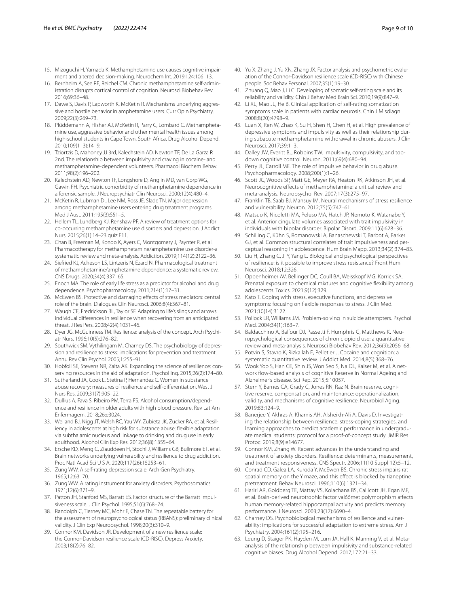- <span id="page-8-0"></span>15. Mizoguchi H, Yamada K. Methamphetamine use causes cognitive impairment and altered decision-making. Neurochem Int. 2019;124:106–13.
- <span id="page-8-1"></span>16. Bernheim A, See RE, Reichel CM. Chronic methamphetamine self-administration disrupts cortical control of cognition. Neurosci Biobehav Rev. 2016;69:36–48.
- <span id="page-8-2"></span>17. Dawe S, Davis P, Lapworth K, McKetin R. Mechanisms underlying aggressive and hostile behavior in amphetamine users. Curr Opin Psychiatry. 2009;22(3):269–73.
- <span id="page-8-3"></span>18. Plüddemann A, Flisher AJ, McKetin R, Parry C, Lombard C. Methamphetamine use, aggressive behavior and other mental health issues among high-school students in Cape Town, South Africa. Drug Alcohol Depend. 2010;109(1–3):14–9.
- <span id="page-8-4"></span>19. Tziortzis D, Mahoney JJ 3rd, Kalechstein AD, Newton TF, De La Garza R 2nd. The relationship between impulsivity and craving in cocaine- and methamphetamine-dependent volunteers. Pharmacol Biochem Behav. 2011;98(2):196–202.
- <span id="page-8-5"></span>20. Kalechstein AD, Newton TF, Longshore D, Anglin MD, van Gorp WG, Gawin FH. Psychiatric comorbidity of methamphetamine dependence in a forensic sample. J Neuropsychiatr Clin Neurosci. 2000;12(4):480–4.
- <span id="page-8-6"></span>21. McKetin R, Lubman DI, Lee NM, Ross JE, Slade TN. Major depression among methamphetamine users entering drug treatment programs. Med J Aust. 2011;195(3):S51–5.
- <span id="page-8-7"></span>22. Hellem TL, Lundberg KJ, Renshaw PF. A review of treatment options for co-occurring methamphetamine use disorders and depression. J Addict Nurs. 2015;26(1):14–23 quiz E11.
- <span id="page-8-8"></span>23. Chan B, Freeman M, Kondo K, Ayers C, Montgomery J, Paynter R, et al. Pharmacotherapy for methamphetamine/amphetamine use disorder-a systematic review and meta-analysis. Addiction. 2019;114(12):2122–36.
- <span id="page-8-9"></span>24. Siefried KJ, Acheson LS, Lintzeris N, Ezard N. Pharmacological treatment of methamphetamine/amphetamine dependence: a systematic review. CNS Drugs. 2020;34(4):337–65.
- <span id="page-8-10"></span>25. Enoch MA. The role of early life stress as a predictor for alcohol and drug dependence. Psychopharmacology. 2011;214(1):17–31.
- <span id="page-8-11"></span>26. McEwen BS. Protective and damaging efects of stress mediators: central role of the brain. Dialogues Clin Neurosci. 2006;8(4):367–81.
- <span id="page-8-12"></span>27. Waugh CE, Fredrickson BL, Taylor SF. Adapting to life's slings and arrows: individual diferences in resilience when recovering from an anticipated threat. J Res Pers. 2008;42(4):1031–46.
- <span id="page-8-13"></span>28. Dyer JG, McGuinness TM. Resilience: analysis of the concept. Arch Psychiatr Nurs. 1996;10(5):276–82.
- <span id="page-8-14"></span>29. Southwick SM, Vythilingam M, Charney DS. The psychobiology of depression and resilience to stress: implications for prevention and treatment. Annu Rev Clin Psychol. 2005;1:255–91.
- <span id="page-8-15"></span>30. Hobfoll SE, Stevens NR, Zalta AK. Expanding the science of resilience: conserving resources in the aid of adaptation. Psychol Inq. 2015;26(2):174–80.
- <span id="page-8-16"></span>31. Sutherland JA, Cook L, Stetina P, Hernandez C. Women in substance abuse recovery: measures of resilience and self-diferentiation. West J Nurs Res. 2009;31(7):905–22.
- <span id="page-8-17"></span>32. Dullius A, Fava S, Ribeiro PM, Terra FS. Alcohol consumption/dependence and resilience in older adults with high blood pressure. Rev Lat Am Enfermagem. 2018;26:e3024.
- <span id="page-8-18"></span>33. Weiland BJ, Nigg JT, Welsh RC, Yau WY, Zubieta JK, Zucker RA, et al. Resiliency in adolescents at high risk for substance abuse: fexible adaptation via subthalamic nucleus and linkage to drinking and drug use in early adulthood. Alcohol Clin Exp Res. 2012;36(8):1355–64.
- <span id="page-8-19"></span>34. Ersche KD, Meng C, Ziauddeen H, Stochl J, Williams GB, Bullmore ET, et al. Brain networks underlying vulnerability and resilience to drug addiction. Proc Natl Acad Sci U S A. 2020;117(26):15253–61.
- <span id="page-8-20"></span>35. Zung WW. A self-rating depression scale. Arch Gen Psychiatry. 1965;12:63–70.
- <span id="page-8-21"></span>36. Zung WW. A rating instrument for anxiety disorders. Psychosomatics. 1971;12(6):371–9.
- <span id="page-8-22"></span>37. Patton JH, Stanford MS, Barratt ES. Factor structure of the Barratt impulsiveness scale. J Clin Psychol. 1995;51(6):768–74.
- <span id="page-8-23"></span>38. Randolph C, Tierney MC, Mohr E, Chase TN. The repeatable battery for the assessment of neuropsychological status (RBANS): preliminary clinical validity. J Clin Exp Neuropsychol. 1998;20(3):310–9.
- <span id="page-8-24"></span>39. Connor KM, Davidson JR. Development of a new resilience scale: the Connor-Davidson resilience scale (CD-RISC). Depress Anxiety. 2003;18(2):76–82.
- <span id="page-8-25"></span>40. Yu X, Zhang J, Yu XN, Zhang JX. Factor analysis and psychometric evaluation of the Connor-Davidson resilience scale (CD-RISC) with Chinese people. Soc Behav Personal. 2007;35(1):19–30.
- <span id="page-8-26"></span>41. Zhuang Q, Mao J, Li C. Developing of somatic self-rating scale and its reliability and validity. Chin J Behav Med Brain Sci. 2010;19(9):847–9.
- <span id="page-8-27"></span>42. Li XL, Mao JL, He B. Clinical application of self-rating somatization symptoms scale in patients with cardiac neurosis. Chin J Misdiagn. 2008;8(20):4798–9.
- <span id="page-8-28"></span>43. Luan X, Ren W, Zhao K, Su H, Shen H, Chen H, et al. High prevalence of depressive symptoms and impulsivity as well as their relationship during subacute methamphetamine withdrawal in chronic abusers. J Clin Neurosci. 2017;39:1–3.
- <span id="page-8-29"></span>44. Dalley JW, Everitt BJ, Robbins TW. Impulsivity, compulsivity, and topdown cognitive control. Neuron. 2011;69(4):680–94.
- <span id="page-8-30"></span>45. Perry JL, Carroll ME. The role of impulsive behavior in drug abuse. Psychopharmacology. 2008;200(1):1–26.
- <span id="page-8-31"></span>46. Scott JC, Woods SP, Matt GE, Meyer RA, Heaton RK, Atkinson JH, et al. Neurocognitive efects of methamphetamine: a critical review and meta-analysis. Neuropsychol Rev. 2007;17(3):275–97.
- <span id="page-8-32"></span>47. Franklin TB, Saab BJ, Mansuy IM. Neural mechanisms of stress resilience and vulnerability. Neuron. 2012;75(5):747–61.
- <span id="page-8-33"></span>48. Matsuo K, Nicoletti MA, Peluso MA, Hatch JP, Nemoto K, Watanabe Y, et al. Anterior cingulate volumes associated with trait impulsivity in individuals with bipolar disorder. Bipolar Disord. 2009;11(6):628–36.
- <span id="page-8-34"></span>49. Schilling C, Kühn S, Romanowski A, Banaschewski T, Barbot A, Barker GJ, et al. Common structural correlates of trait impulsiveness and perceptual reasoning in adolescence. Hum Brain Mapp. 2013;34(2):374–83.
- <span id="page-8-35"></span>50. Liu H, Zhang C, Ji Y, Yang L. Biological and psychological perspectives of resilience: is it possible to improve stress resistance? Front Hum Neurosci. 2018;12:326.
- <span id="page-8-36"></span>51. Oppenheimer AV, Bellinger DC, Coull BA, Weisskopf MG, Korrick SA. Prenatal exposure to chemical mixtures and cognitive fexibility among adolescents. Toxics. 2021;9(12):329.
- <span id="page-8-37"></span>52. Kato T. Coping with stress, executive functions, and depressive symptoms: focusing on fexible responses to stress. J Clin Med. 2021;10(14):3122.
- <span id="page-8-38"></span>53. Pollock LR, Williams JM. Problem-solving in suicide attempters. Psychol Med. 2004;34(1):163–7.
- <span id="page-8-39"></span>54. Baldacchino A, Balfour DJ, Passetti F, Humphris G, Matthews K. Neuropsychological consequences of chronic opioid use: a quantitative review and meta-analysis. Neurosci Biobehav Rev. 2012;36(9):2056–68.
- <span id="page-8-40"></span>55. Potvin S, Stavro K, Rizkallah E, Pelletier J. Cocaine and cognition: a systematic quantitative review. J Addict Med. 2014;8(5):368–76.
- <span id="page-8-41"></span>56. Wook Yoo S, Han CE, Shin JS, Won Seo S, Na DL, Kaiser M, et al. A network flow-based analysis of cognitive Reserve in Normal Ageing and Alzheimer's disease. Sci Rep. 2015;5:10057.
- <span id="page-8-42"></span>57. Stern Y, Barnes CA, Grady C, Jones RN, Raz N. Brain reserve, cognitive reserve, compensation, and maintenance: operationalization, validity, and mechanisms of cognitive resilience. Neurobiol Aging. 2019;83:124–9.
- <span id="page-8-43"></span>58. Banerjee Y, Akhras A, Khamis AH, Alsheikh-Ali A, Davis D. Investigating the relationship between resilience, stress-coping strategies, and learning approaches to predict academic performance in undergraduate medical students: protocol for a proof-of-concept study. JMIR Res Protoc. 2019;8(9):e14677.
- <span id="page-8-44"></span>59. Connor KM, Zhang W. Recent advances in the understanding and treatment of anxiety disorders. Resilience: determinants, measurement, and treatment responsiveness. CNS Spectr. 2006;11(10 Suppl 12):5–12.
- <span id="page-8-45"></span>60. Conrad CD, Galea LA, Kuroda Y, McEwen BS. Chronic stress impairs rat spatial memory on the Y maze, and this effect is blocked by tianeptine pretreatment. Behav Neurosci. 1996;110(6):1321–34.
- <span id="page-8-46"></span>61. Hariri AR, Goldberg TE, Mattay VS, Kolachana BS, Callicott JH, Egan MF, et al. Brain-derived neurotrophic factor val66met polymorphism afects human memory-related hippocampal activity and predicts memory performance. J Neurosci. 2003;23(17):6690–4.
- <span id="page-8-47"></span>62. Charney DS. Psychobiological mechanisms of resilience and vulnerability: implications for successful adaptation to extreme stress. Am J Psychiatry. 2004;161(2):195–216.
- <span id="page-8-48"></span>63. Leung D, Staiger PK, Hayden M, Lum JA, Hall K, Manning V, et al. Metaanalysis of the relationship between impulsivity and substance-related cognitive biases. Drug Alcohol Depend. 2017;172:21–33.